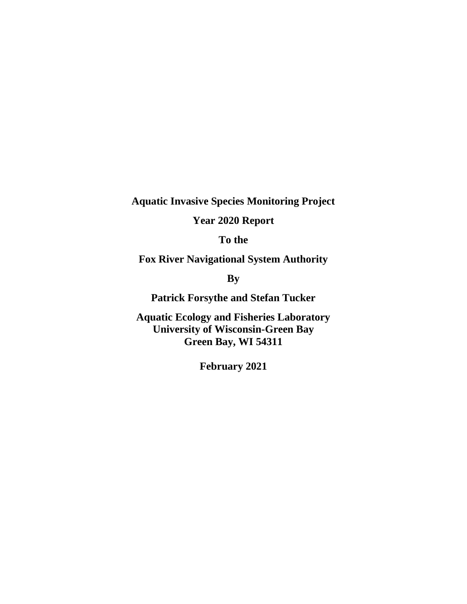**Aquatic Invasive Species Monitoring Project**

**Year 2020 Report**

**To the** 

**Fox River Navigational System Authority**

**By**

**Patrick Forsythe and Stefan Tucker** 

**Aquatic Ecology and Fisheries Laboratory University of Wisconsin-Green Bay Green Bay, WI 54311**

**February 2021**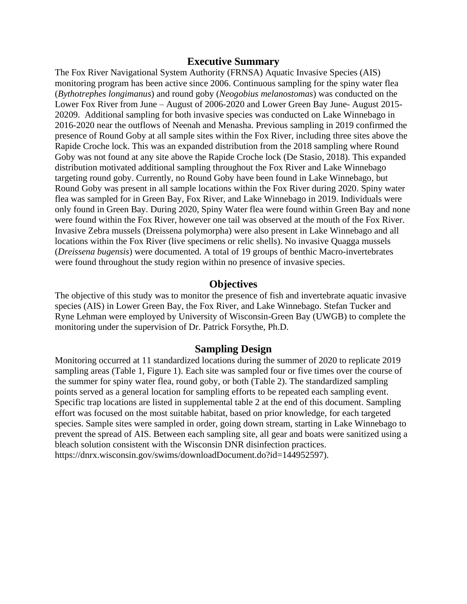#### **Executive Summary**

The Fox River Navigational System Authority (FRNSA) Aquatic Invasive Species (AIS) monitoring program has been active since 2006. Continuous sampling for the spiny water flea (*Bythotrephes longimanus*) and round goby (*Neogobius melanostomas*) was conducted on the Lower Fox River from June – August of 2006-2020 and Lower Green Bay June- August 2015- 20209. Additional sampling for both invasive species was conducted on Lake Winnebago in 2016-2020 near the outflows of Neenah and Menasha. Previous sampling in 2019 confirmed the presence of Round Goby at all sample sites within the Fox River, including three sites above the Rapide Croche lock. This was an expanded distribution from the 2018 sampling where Round Goby was not found at any site above the Rapide Croche lock (De Stasio, 2018). This expanded distribution motivated additional sampling throughout the Fox River and Lake Winnebago targeting round goby. Currently, no Round Goby have been found in Lake Winnebago, but Round Goby was present in all sample locations within the Fox River during 2020. Spiny water flea was sampled for in Green Bay, Fox River, and Lake Winnebago in 2019. Individuals were only found in Green Bay. During 2020, Spiny Water flea were found within Green Bay and none were found within the Fox River, however one tail was observed at the mouth of the Fox River. Invasive Zebra mussels (Dreissena polymorpha) were also present in Lake Winnebago and all locations within the Fox River (live specimens or relic shells). No invasive Quagga mussels (*Dreissena bugensis*) were documented. A total of 19 groups of benthic Macro-invertebrates were found throughout the study region within no presence of invasive species.

### **Objectives**

The objective of this study was to monitor the presence of fish and invertebrate aquatic invasive species (AIS) in Lower Green Bay, the Fox River, and Lake Winnebago. Stefan Tucker and Ryne Lehman were employed by University of Wisconsin-Green Bay (UWGB) to complete the monitoring under the supervision of Dr. Patrick Forsythe, Ph.D.

#### **Sampling Design**

Monitoring occurred at 11 standardized locations during the summer of 2020 to replicate 2019 sampling areas (Table 1, Figure 1). Each site was sampled four or five times over the course of the summer for spiny water flea, round goby, or both (Table 2). The standardized sampling points served as a general location for sampling efforts to be repeated each sampling event. Specific trap locations are listed in supplemental table 2 at the end of this document. Sampling effort was focused on the most suitable habitat, based on prior knowledge, for each targeted species. Sample sites were sampled in order, going down stream, starting in Lake Winnebago to prevent the spread of AIS. Between each sampling site, all gear and boats were sanitized using a bleach solution consistent with the Wisconsin DNR disinfection practices. https://dnrx.wisconsin.gov/swims/downloadDocument.do?id=144952597).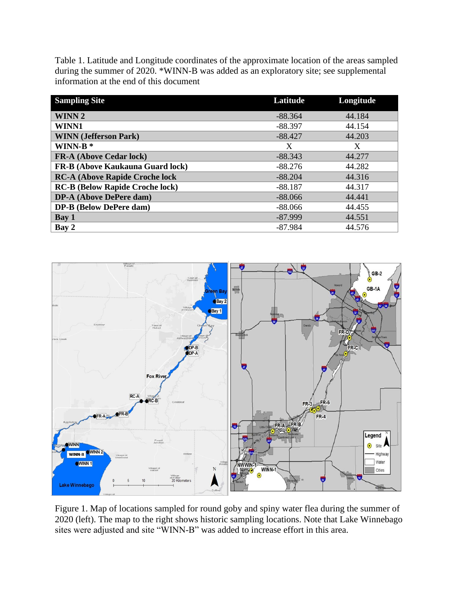Table 1. Latitude and Longitude coordinates of the approximate location of the areas sampled during the summer of 2020. \*WINN-B was added as an exploratory site; see supplemental information at the end of this document

| <b>Sampling Site</b>                    | Latitude  | Longitude |
|-----------------------------------------|-----------|-----------|
| <b>WINN2</b>                            | $-88.364$ | 44.184    |
| WINN1                                   | $-88.397$ | 44.154    |
| <b>WINN</b> (Jefferson Park)            | $-88.427$ | 44.203    |
| WINN- $B^*$                             | X         | X         |
| <b>FR-A (Above Cedar lock)</b>          | $-88.343$ | 44.277    |
| <b>FR-B (Above Kaukauna Guard lock)</b> | $-88.276$ | 44.282    |
| <b>RC-A (Above Rapide Croche lock</b>   | $-88.204$ | 44.316    |
| <b>RC-B (Below Rapide Croche lock)</b>  | $-88.187$ | 44.317    |
| <b>DP-A (Above DePere dam)</b>          | $-88.066$ | 44,441    |
| <b>DP-B</b> (Below DePere dam)          | $-88.066$ | 44.455    |
| Bay 1                                   | $-87.999$ | 44.551    |
| Bay 2                                   | $-87.984$ | 44.576    |



Figure 1. Map of locations sampled for round goby and spiny water flea during the summer of 2020 (left). The map to the right shows historic sampling locations. Note that Lake Winnebago sites were adjusted and site "WINN-B" was added to increase effort in this area.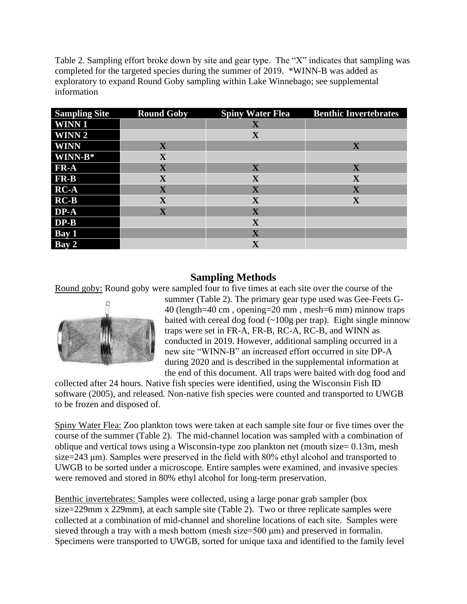Table 2. Sampling effort broke down by site and gear type. The "X" indicates that sampling was completed for the targeted species during the summer of 2019. \*WINN-B was added as exploratory to expand Round Goby sampling within Lake Winnebago; see supplemental information

| <b>Sampling Site</b>                | <b>Round Goby</b> | <b>Spiny Water Flea</b> | <b>Benthic Invertebrates</b> |
|-------------------------------------|-------------------|-------------------------|------------------------------|
| <b>WINN1</b>                        |                   | $\mathbf X$             |                              |
| <b>WINN2</b>                        |                   | X                       |                              |
| <b>WINN</b>                         | X                 |                         | X                            |
| $\mathbf{WINN}\text{-}\mathbf{B}^*$ | X                 |                         |                              |
| FR-A                                | X                 | X                       | X                            |
| <b>FR-B</b>                         | $\mathbf X$       | $\mathbf X$             | $\mathbf X$                  |
| $RC-A$                              | $\mathbf X$       | $\overline{\mathbf{X}}$ | $\overline{\mathbf{X}}$      |
| $RC-B$                              | $\mathbf X$       | $\mathbf X$             | $\mathbf X$                  |
| DP-A                                | X                 | X                       |                              |
| $DP-B$                              |                   | $\mathbf X$             |                              |
| Bay 1                               |                   | $\overline{\mathbf{X}}$ |                              |
| Bay 2                               |                   | $\overline{\mathbf{X}}$ |                              |

# **Sampling Methods**

Round goby: Round goby were sampled four to five times at each site over the course of the



summer (Table 2). The primary gear type used was Gee-Feets G-40 (length=40 cm , opening=20 mm , mesh=6 mm) minnow traps baited with cereal dog food  $(-100g$  per trap). Eight single minnow traps were set in FR-A, FR-B, RC-A, RC-B, and WINN as conducted in 2019. However, additional sampling occurred in a new site "WINN-B" an increased effort occurred in site DP-A during 2020 and is described in the supplemental information at the end of this document. All traps were baited with dog food and

collected after 24 hours. Native fish species were identified, using the Wisconsin Fish ID software (2005), and released. Non-native fish species were counted and transported to UWGB to be frozen and disposed of.

Spiny Water Flea: Zoo plankton tows were taken at each sample site four or five times over the course of the summer (Table 2). The mid-channel location was sampled with a combination of oblique and vertical tows using a Wisconsin-type zoo plankton net (mouth size= 0.13m, mesh size=243 μm). Samples were preserved in the field with 80% ethyl alcohol and transported to UWGB to be sorted under a microscope. Entire samples were examined, and invasive species were removed and stored in 80% ethyl alcohol for long-term preservation.

Benthic invertebrates: Samples were collected, using a large ponar grab sampler (box size=229mm x 229mm), at each sample site (Table 2). Two or three replicate samples were collected at a combination of mid-channel and shoreline locations of each site. Samples were sieved through a tray with a mesh bottom (mesh size=500 μm) and preserved in formalin. Specimens were transported to UWGB, sorted for unique taxa and identified to the family level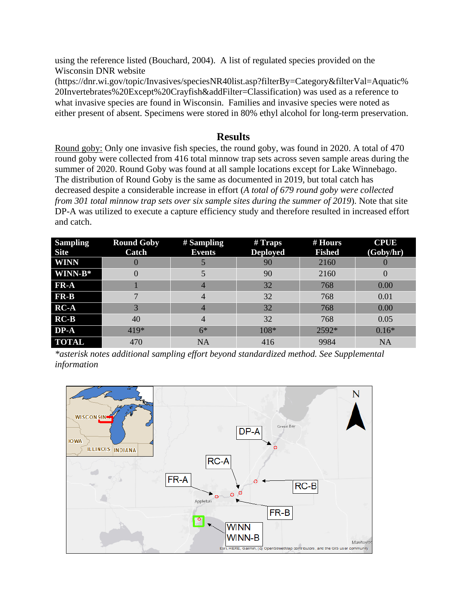using the reference listed (Bouchard, 2004). A list of regulated species provided on the Wisconsin DNR website

[\(https://dnr.wi.gov/topic/Invasives/speciesNR40list.asp?filterBy=Category&filterVal=Aquatic%](https://dnr.wi.gov/topic/Invasives/speciesNR40list.asp?filterBy=Category&filterVal=Aquatic%20Invertebrates%20Except%20Crayfish&addFilter=Classification) [20Invertebrates%20Except%20Crayfish&addFilter=Classification\)](https://dnr.wi.gov/topic/Invasives/speciesNR40list.asp?filterBy=Category&filterVal=Aquatic%20Invertebrates%20Except%20Crayfish&addFilter=Classification) was used as a reference to what invasive species are found in Wisconsin. Families and invasive species were noted as either present of absent. Specimens were stored in 80% ethyl alcohol for long-term preservation.

# **Results**

Round goby: Only one invasive fish species, the round goby, was found in 2020. A total of 470 round goby were collected from 416 total minnow trap sets across seven sample areas during the summer of 2020. Round Goby was found at all sample locations except for Lake Winnebago. The distribution of Round Goby is the same as documented in 2019, but total catch has decreased despite a considerable increase in effort (*A total of 679 round goby were collected from 301 total minnow trap sets over six sample sites during the summer of 2019*). Note that site DP-A was utilized to execute a capture efficiency study and therefore resulted in increased effort and catch.

| <b>Sampling</b><br><b>Site</b> | <b>Round Goby</b><br>Catch | $#$ Sampling<br><b>Events</b> | $#$ Traps<br><b>Deployed</b> | # Hours<br><b>Fished</b> | <b>CPUE</b><br>(Goby/hr) |
|--------------------------------|----------------------------|-------------------------------|------------------------------|--------------------------|--------------------------|
| <b>WINN</b>                    |                            |                               | 90                           | 2160                     |                          |
| WINN-B*                        |                            |                               | 90                           | 2160                     | $\theta$                 |
| FR-A                           |                            |                               | 32                           | 768                      | 0.00                     |
| FR-B                           |                            | 4                             | 32                           | 768                      | 0.01                     |
| $RC-A$                         | 3                          |                               | 32                           | 768                      | 0.00                     |
| $RC-B$                         | 40                         | 4                             | 32                           | 768                      | 0.05                     |
| DP-A                           | $419*$                     | $6*$                          | $108*$                       | 2592*                    | $0.16*$                  |
| <b>TOTAL</b>                   | 470                        | <b>NA</b>                     | 416                          | 9984                     | <b>NA</b>                |

*\*asterisk notes additional sampling effort beyond standardized method. See Supplemental information*

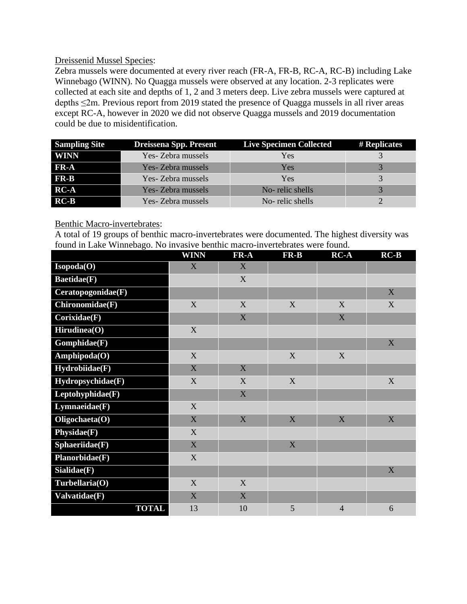## Dreissenid Mussel Species:

Zebra mussels were documented at every river reach (FR-A, FR-B, RC-A, RC-B) including Lake Winnebago (WINN). No Quagga mussels were observed at any location. 2-3 replicates were collected at each site and depths of 1, 2 and 3 meters deep. Live zebra mussels were captured at depths ≤2m. Previous report from 2019 stated the presence of Quagga mussels in all river areas except RC-A, however in 2020 we did not observe Quagga mussels and 2019 documentation could be due to misidentification.

| <b>Sampling Site</b>            | <b>Dreissena Spp. Present</b> | <b>Live Specimen Collected</b> | # Replicates |
|---------------------------------|-------------------------------|--------------------------------|--------------|
| <b>WINN</b>                     | Yes- Zebra mussels            | Yes                            |              |
| FR-A                            | Yes- Zebra mussels            | Yes                            |              |
| $\mathbf{FR}\text{-}\mathbf{B}$ | Yes- Zebra mussels            | Yes                            |              |
| $RC-A$                          | Yes- Zebra mussels            | No-relic shells                |              |
| $RC-B$                          | Yes- Zebra mussels            | No-relic shells                |              |

### Benthic Macro-invertebrates:

A total of 19 groups of benthic macro-invertebrates were documented. The highest diversity was found in Lake Winnebago. No invasive benthic macro-invertebrates were found.

|                    | <b>WINN</b> | $\mathbf{FR}\text{-}\mathbf{A}$ | $FR-B$      | $RC-A$                    | $RC-B$      |
|--------------------|-------------|---------------------------------|-------------|---------------------------|-------------|
| Isopoda(O)         | X           | X                               |             |                           |             |
| <b>Baetidae(F)</b> |             | X                               |             |                           |             |
| Ceratopogonidae(F) |             |                                 |             |                           | $\mathbf X$ |
| Chironomidae(F)    | X           | X                               | X           | X                         | $\mathbf X$ |
| Corixidae(F)       |             | X                               |             | $\boldsymbol{\mathrm{X}}$ |             |
| Hirudinea(O)       | X           |                                 |             |                           |             |
| Gomphidae(F)       |             |                                 |             |                           | X           |
| Amphipoda(O)       | X           |                                 | X           | $\mathbf X$               |             |
| Hydrobiidae(F)     | X           | X                               |             |                           |             |
| Hydropsychidae(F)  | $\mathbf X$ | X                               | $\mathbf X$ |                           | $\mathbf X$ |
| Leptohyphidae(F)   |             | X                               |             |                           |             |
| Lymnaeidae(F)      | X           |                                 |             |                           |             |
| Oligochaeta(O)     | X           | $\mathbf X$                     | $\mathbf X$ | $\mathbf X$               | $\mathbf X$ |
| Physidae(F)        | X           |                                 |             |                           |             |
| Sphaeriidae(F)     | $\mathbf X$ |                                 | $\mathbf X$ |                           |             |
| Planorbidae(F)     | X           |                                 |             |                           |             |
| Sialidae(F)        |             |                                 |             |                           | $\mathbf X$ |
| Turbellaria(O)     | X           | X                               |             |                           |             |
| Valvatidae(F)      | X           | X                               |             |                           |             |
| <b>TOTAL</b>       | 13          | 10                              | 5           | $\overline{4}$            | 6           |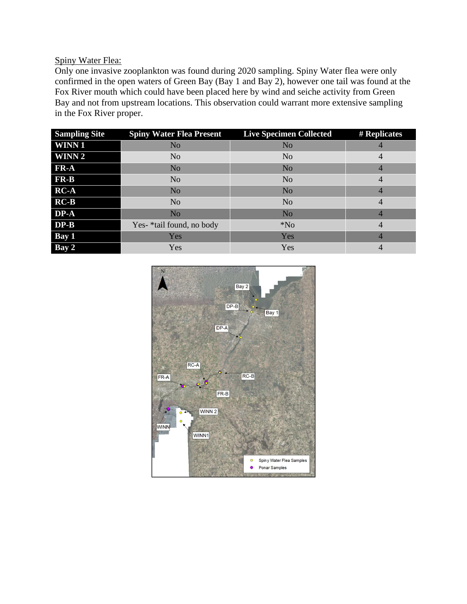## Spiny Water Flea:

Only one invasive zooplankton was found during 2020 sampling. Spiny Water flea were only confirmed in the open waters of Green Bay (Bay 1 and Bay 2), however one tail was found at the Fox River mouth which could have been placed here by wind and seiche activity from Green Bay and not from upstream locations. This observation could warrant more extensive sampling in the Fox River proper.

| <b>Sampling Site</b> | <b>Spiny Water Flea Present</b> | <b>Live Specimen Collected</b> | # Replicates   |
|----------------------|---------------------------------|--------------------------------|----------------|
| <b>WINN1</b>         | N <sub>o</sub>                  | N <sub>o</sub>                 |                |
| <b>WINN 2</b>        | N <sub>o</sub>                  | N <sub>o</sub>                 | 4              |
| FR-A                 | N <sub>o</sub>                  | N <sub>o</sub>                 | $\overline{4}$ |
| <b>FR-B</b>          | N <sub>o</sub>                  | N <sub>o</sub>                 | 4              |
| $RC-A$               | N <sub>o</sub>                  | N <sub>o</sub>                 | 4              |
| $RC-B$               | N <sub>o</sub>                  | N <sub>o</sub>                 | 4              |
| DP-A                 | N <sub>o</sub>                  | N <sub>o</sub>                 |                |
| $DP-B$               | Yes- *tail found, no body       | $*$ No                         | $\overline{4}$ |
| Bay 1                | Yes                             | Yes                            | 4              |
| Bay 2                | Yes                             | Yes                            | 4              |

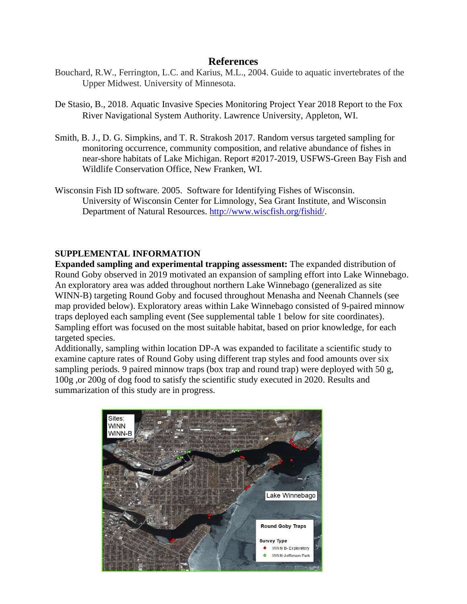## **References**

- Bouchard, R.W., Ferrington, L.C. and Karius, M.L., 2004. Guide to aquatic invertebrates of the Upper Midwest. University of Minnesota.
- De Stasio, B., 2018. Aquatic Invasive Species Monitoring Project Year 2018 Report to the Fox River Navigational System Authority. Lawrence University, Appleton, WI.
- Smith, B. J., D. G. Simpkins, and T. R. Strakosh 2017. Random versus targeted sampling for monitoring occurrence, community composition, and relative abundance of fishes in near-shore habitats of Lake Michigan. Report #2017-2019, USFWS-Green Bay Fish and Wildlife Conservation Office, New Franken, WI.
- Wisconsin Fish ID software. 2005. Software for Identifying Fishes of Wisconsin. University of Wisconsin Center for Limnology, Sea Grant Institute, and Wisconsin Department of Natural Resources. [http://www.wiscfish.org/fishid/.](http://www.wiscfish.org/fishid/)

## **SUPPLEMENTAL INFORMATION**

**Expanded sampling and experimental trapping assessment:** The expanded distribution of Round Goby observed in 2019 motivated an expansion of sampling effort into Lake Winnebago. An exploratory area was added throughout northern Lake Winnebago (generalized as site WINN-B) targeting Round Goby and focused throughout Menasha and Neenah Channels (see map provided below). Exploratory areas within Lake Winnebago consisted of 9-paired minnow traps deployed each sampling event (See supplemental table 1 below for site coordinates). Sampling effort was focused on the most suitable habitat, based on prior knowledge, for each targeted species.

Additionally, sampling within location DP-A was expanded to facilitate a scientific study to examine capture rates of Round Goby using different trap styles and food amounts over six sampling periods. 9 paired minnow traps (box trap and round trap) were deployed with 50 g, 100g ,or 200g of dog food to satisfy the scientific study executed in 2020. Results and summarization of this study are in progress.

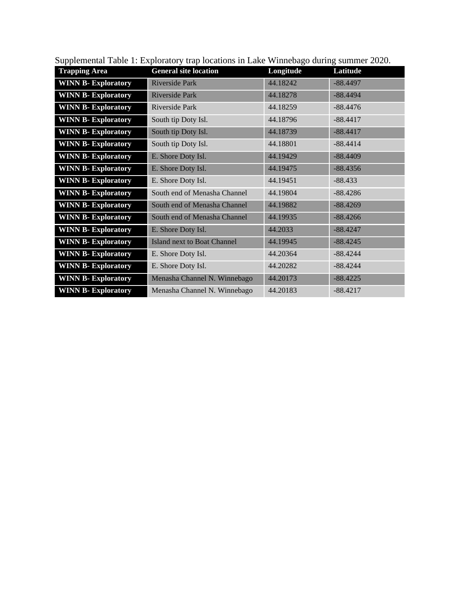| 1 T                        |                                    |           |            |
|----------------------------|------------------------------------|-----------|------------|
| <b>Trapping Area</b>       | <b>General site location</b>       | Longitude | Latitude   |
| <b>WINN B- Exploratory</b> | <b>Riverside Park</b>              | 44.18242  | $-88.4497$ |
| <b>WINN B- Exploratory</b> | Riverside Park                     | 44.18278  | $-88.4494$ |
| <b>WINN B- Exploratory</b> | Riverside Park                     | 44.18259  | $-88.4476$ |
| <b>WINN B- Exploratory</b> | South tip Doty Isl.                | 44.18796  | $-88.4417$ |
| <b>WINN B- Exploratory</b> | South tip Doty Isl.                | 44.18739  | $-88.4417$ |
| <b>WINN B- Exploratory</b> | South tip Doty Isl.                | 44.18801  | $-88.4414$ |
| <b>WINN B- Exploratory</b> | E. Shore Doty Isl.                 | 44.19429  | $-88.4409$ |
| <b>WINN B- Exploratory</b> | E. Shore Doty Isl.                 | 44.19475  | $-88.4356$ |
| <b>WINN B- Exploratory</b> | E. Shore Doty Isl.                 | 44.19451  | $-88.433$  |
| <b>WINN B-Exploratory</b>  | South end of Menasha Channel       | 44.19804  | $-88.4286$ |
| <b>WINN B-Exploratory</b>  | South end of Menasha Channel       | 44.19882  | $-88.4269$ |
| <b>WINN B- Exploratory</b> | South end of Menasha Channel       | 44.19935  | $-88.4266$ |
| <b>WINN B-Exploratory</b>  | E. Shore Doty Isl.                 | 44.2033   | $-88.4247$ |
| <b>WINN B- Exploratory</b> | <b>Island next to Boat Channel</b> | 44.19945  | $-88.4245$ |
| <b>WINN B- Exploratory</b> | E. Shore Doty Isl.                 | 44.20364  | $-88.4244$ |
| <b>WINN B- Exploratory</b> | E. Shore Doty Isl.                 | 44.20282  | $-88.4244$ |
| <b>WINN B- Exploratory</b> | Menasha Channel N. Winnebago       | 44.20173  | $-88.4225$ |
| <b>WINN B- Exploratory</b> | Menasha Channel N. Winnebago       | 44.20183  | $-88.4217$ |

Supplemental Table 1: Exploratory trap locations in Lake Winnebago during summer 2020.